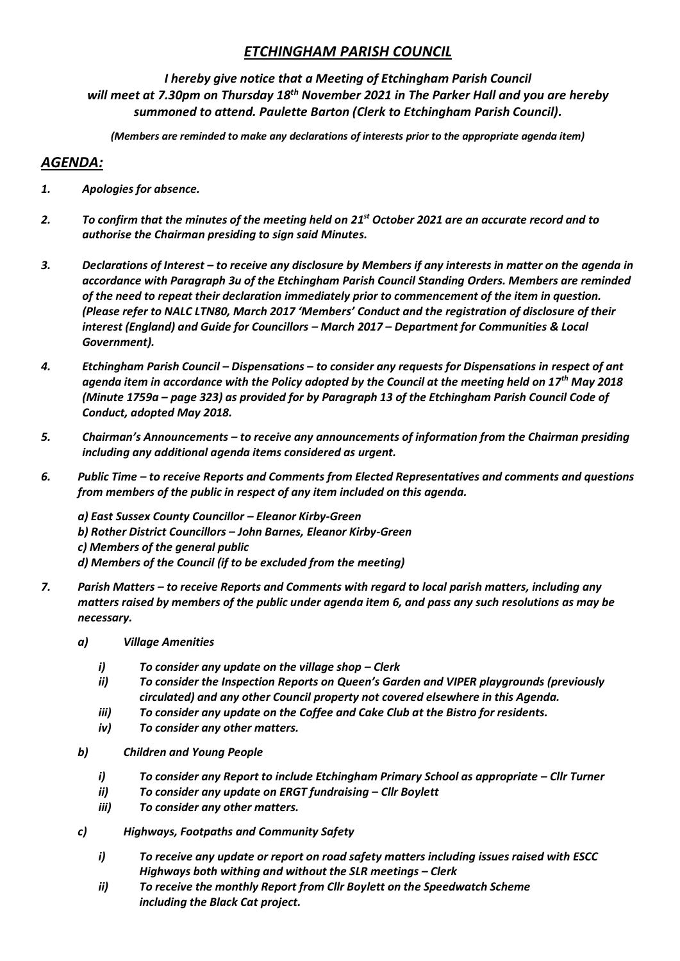## *ETCHINGHAM PARISH COUNCIL*

*I hereby give notice that a Meeting of Etchingham Parish Council will meet at 7.30pm on Thursday 18 th November 2021 in The Parker Hall and you are hereby summoned to attend. Paulette Barton (Clerk to Etchingham Parish Council).* 

*(Members are reminded to make any declarations of interests prior to the appropriate agenda item)*

## *AGENDA:*

- *1. Apologies for absence.*
- *2. To confirm that the minutes of the meeting held on 21st October 2021 are an accurate record and to authorise the Chairman presiding to sign said Minutes.*
- *3. Declarations of Interest – to receive any disclosure by Members if any interests in matter on the agenda in accordance with Paragraph 3u of the Etchingham Parish Council Standing Orders. Members are reminded of the need to repeat their declaration immediately prior to commencement of the item in question. (Please refer to NALC LTN80, March 2017 'Members' Conduct and the registration of disclosure of their interest (England) and Guide for Councillors – March 2017 – Department for Communities & Local Government).*
- *4. Etchingham Parish Council – Dispensations – to consider any requests for Dispensations in respect of ant agenda item in accordance with the Policy adopted by the Council at the meeting held on 17th May 2018 (Minute 1759a – page 323) as provided for by Paragraph 13 of the Etchingham Parish Council Code of Conduct, adopted May 2018.*
- *5. Chairman's Announcements – to receive any announcements of information from the Chairman presiding including any additional agenda items considered as urgent.*
- *6. Public Time – to receive Reports and Comments from Elected Representatives and comments and questions from members of the public in respect of any item included on this agenda.*

*a) East Sussex County Councillor – Eleanor Kirby-Green b) Rother District Councillors – John Barnes, Eleanor Kirby-Green c) Members of the general public d) Members of the Council (if to be excluded from the meeting)*

- *7. Parish Matters – to receive Reports and Comments with regard to local parish matters, including any matters raised by members of the public under agenda item 6, and pass any such resolutions as may be necessary.*
	- *a) Village Amenities*
		- *i*) *To consider any update on the village shop Clerk*
		- *ii) To consider the Inspection Reports on Queen's Garden and VIPER playgrounds (previously circulated) and any other Council property not covered elsewhere in this Agenda.*
		- *iii) To consider any update on the Coffee and Cake Club at the Bistro for residents.*
		- *iv) To consider any other matters.*
	- *b) Children and Young People*
		- *i) To consider any Report to include Etchingham Primary School as appropriate – Cllr Turner*
		- *ii) To consider any update on ERGT fundraising – Cllr Boylett*
		- *iii) To consider any other matters.*
	- *c) Highways, Footpaths and Community Safety*
		- *i) To receive any update or report on road safety matters including issues raised with ESCC Highways both withing and without the SLR meetings – Clerk*
		- *ii) To receive the monthly Report from Cllr Boylett on the Speedwatch Scheme including the Black Cat project.*